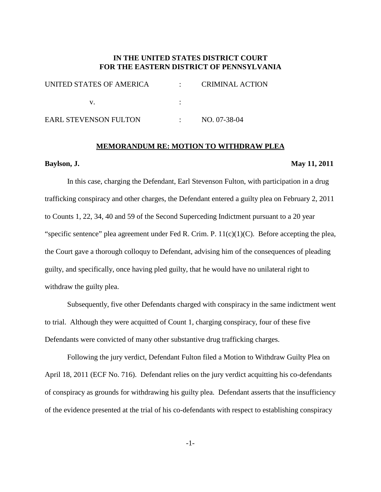# **IN THE UNITED STATES DISTRICT COURT FOR THE EASTERN DISTRICT OF PENNSYLVANIA**

| UNITED STATES OF AMERICA     | <b>CRIMINAL ACTION</b> |
|------------------------------|------------------------|
|                              |                        |
| <b>EARL STEVENSON FULTON</b> | NO. 07-38-04           |

#### **MEMORANDUM RE: MOTION TO WITHDRAW PLEA**

#### **Baylson, J. May 11, 2011**

In this case, charging the Defendant, Earl Stevenson Fulton, with participation in a drug trafficking conspiracy and other charges, the Defendant entered a guilty plea on February 2, 2011 to Counts 1, 22, 34, 40 and 59 of the Second Superceding Indictment pursuant to a 20 year "specific sentence" plea agreement under Fed R. Crim. P.  $11(c)(1)(C)$ . Before accepting the plea, the Court gave a thorough colloquy to Defendant, advising him of the consequences of pleading guilty, and specifically, once having pled guilty, that he would have no unilateral right to withdraw the guilty plea.

Subsequently, five other Defendants charged with conspiracy in the same indictment went to trial. Although they were acquitted of Count 1, charging conspiracy, four of these five Defendants were convicted of many other substantive drug trafficking charges.

Following the jury verdict, Defendant Fulton filed a Motion to Withdraw Guilty Plea on April 18, 2011 (ECF No. 716). Defendant relies on the jury verdict acquitting his co-defendants of conspiracy as grounds for withdrawing his guilty plea. Defendant asserts that the insufficiency of the evidence presented at the trial of his co-defendants with respect to establishing conspiracy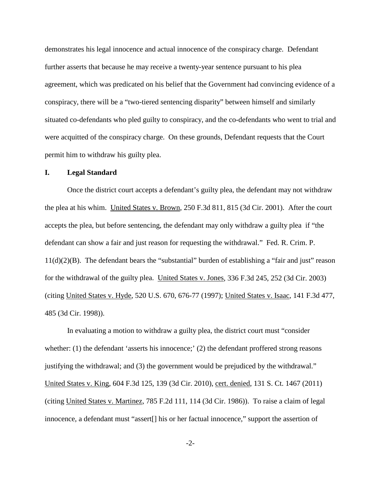demonstrates his legal innocence and actual innocence of the conspiracy charge. Defendant further asserts that because he may receive a twenty-year sentence pursuant to his plea agreement, which was predicated on his belief that the Government had convincing evidence of a conspiracy, there will be a "two-tiered sentencing disparity" between himself and similarly situated co-defendants who pled guilty to conspiracy, and the co-defendants who went to trial and were acquitted of the conspiracy charge. On these grounds, Defendant requests that the Court permit him to withdraw his guilty plea.

### **I. Legal Standard**

Once the district court accepts a defendant's guilty plea, the defendant may not withdraw the plea at his whim. United States v. Brown, 250 F.3d 811, 815 (3d Cir. 2001). After the court accepts the plea, but before sentencing, the defendant may only withdraw a guilty plea if "the defendant can show a fair and just reason for requesting the withdrawal." Fed. R. Crim. P. 11(d)(2)(B). The defendant bears the "substantial" burden of establishing a "fair and just" reason for the withdrawal of the guilty plea. United States v. Jones, 336 F.3d 245, 252 (3d Cir. 2003) (citing United States v. Hyde, 520 U.S. 670, 676-77 (1997); United States v. Isaac, 141 F.3d 477, 485 (3d Cir. 1998)).

In evaluating a motion to withdraw a guilty plea, the district court must "consider whether: (1) the defendant 'asserts his innocence;' (2) the defendant proffered strong reasons justifying the withdrawal; and (3) the government would be prejudiced by the withdrawal." United States v. King, 604 F.3d 125, 139 (3d Cir. 2010), cert. denied, 131 S. Ct. 1467 (2011) (citing United States v. Martinez, 785 F.2d 111, 114 (3d Cir. 1986)). To raise a claim of legal innocence, a defendant must "assert[] his or her factual innocence," support the assertion of

-2-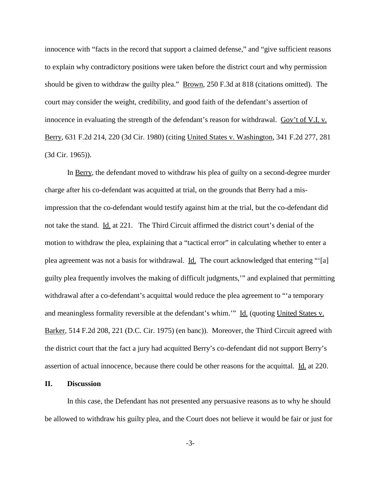innocence with "facts in the record that support a claimed defense," and "give sufficient reasons to explain why contradictory positions were taken before the district court and why permission should be given to withdraw the guilty plea." <u>Brown</u>, 250 F.3d at 818 (citations omitted). The court may consider the weight, credibility, and good faith of the defendant's assertion of innocence in evaluating the strength of the defendant's reason for withdrawal. Gov't of V.I. v. Berry, 631 F.2d 214, 220 (3d Cir. 1980) (citing United States v. Washington, 341 F.2d 277, 281 (3d Cir. 1965)).

In Berry, the defendant moved to withdraw his plea of guilty on a second-degree murder charge after his co-defendant was acquitted at trial, on the grounds that Berry had a misimpression that the co-defendant would testify against him at the trial, but the co-defendant did not take the stand. Id. at 221. The Third Circuit affirmed the district court's denial of the motion to withdraw the plea, explaining that a "tactical error" in calculating whether to enter a plea agreement was not a basis for withdrawal. Id. The court acknowledged that entering "'[a] guilty plea frequently involves the making of difficult judgments,'" and explained that permitting withdrawal after a co-defendant's acquittal would reduce the plea agreement to "'a temporary and meaningless formality reversible at the defendant's whim.'" Id. (quoting United States v. Barker, 514 F.2d 208, 221 (D.C. Cir. 1975) (en banc)). Moreover, the Third Circuit agreed with the district court that the fact a jury had acquitted Berry's co-defendant did not support Berry's assertion of actual innocence, because there could be other reasons for the acquittal. Id. at 220.

## **II. Discussion**

In this case, the Defendant has not presented any persuasive reasons as to why he should be allowed to withdraw his guilty plea, and the Court does not believe it would be fair or just for

-3-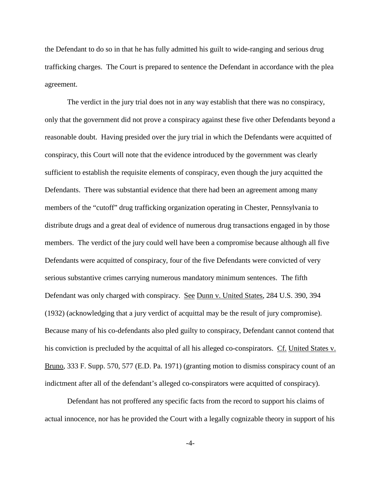the Defendant to do so in that he has fully admitted his guilt to wide-ranging and serious drug trafficking charges. The Court is prepared to sentence the Defendant in accordance with the plea agreement.

The verdict in the jury trial does not in any way establish that there was no conspiracy, only that the government did not prove a conspiracy against these five other Defendants beyond a reasonable doubt. Having presided over the jury trial in which the Defendants were acquitted of conspiracy, this Court will note that the evidence introduced by the government was clearly sufficient to establish the requisite elements of conspiracy, even though the jury acquitted the Defendants. There was substantial evidence that there had been an agreement among many members of the "cutoff" drug trafficking organization operating in Chester, Pennsylvania to distribute drugs and a great deal of evidence of numerous drug transactions engaged in by those members. The verdict of the jury could well have been a compromise because although all five Defendants were acquitted of conspiracy, four of the five Defendants were convicted of very serious substantive crimes carrying numerous mandatory minimum sentences. The fifth Defendant was only charged with conspiracy. See Dunn v. United States, 284 U.S. 390, 394 (1932) (acknowledging that a jury verdict of acquittal may be the result of jury compromise). Because many of his co-defendants also pled guilty to conspiracy, Defendant cannot contend that his conviction is precluded by the acquittal of all his alleged co-conspirators. Cf. United States v. Bruno, 333 F. Supp. 570, 577 (E.D. Pa. 1971) (granting motion to dismiss conspiracy count of an indictment after all of the defendant's alleged co-conspirators were acquitted of conspiracy).

Defendant has not proffered any specific facts from the record to support his claims of actual innocence, nor has he provided the Court with a legally cognizable theory in support of his

-4-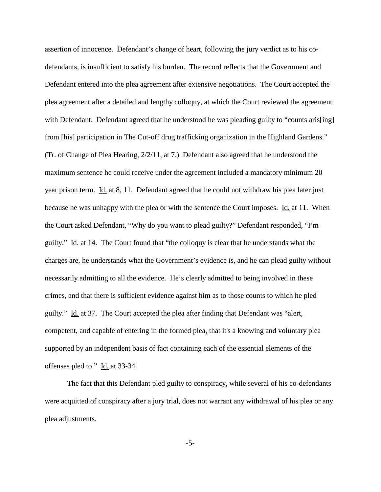assertion of innocence. Defendant's change of heart, following the jury verdict as to his codefendants, is insufficient to satisfy his burden. The record reflects that the Government and Defendant entered into the plea agreement after extensive negotiations. The Court accepted the plea agreement after a detailed and lengthy colloquy, at which the Court reviewed the agreement with Defendant. Defendant agreed that he understood he was pleading guilty to "counts aris[ing] from [his] participation in The Cut-off drug trafficking organization in the Highland Gardens." (Tr. of Change of Plea Hearing, 2/2/11, at 7.) Defendant also agreed that he understood the maximum sentence he could receive under the agreement included a mandatory minimum 20 year prison term. Id. at 8, 11. Defendant agreed that he could not withdraw his plea later just because he was unhappy with the plea or with the sentence the Court imposes. Id. at 11. When the Court asked Defendant, "Why do you want to plead guilty?" Defendant responded, "I'm guilty." Id. at 14. The Court found that "the colloquy is clear that he understands what the charges are, he understands what the Government's evidence is, and he can plead guilty without necessarily admitting to all the evidence. He's clearly admitted to being involved in these crimes, and that there is sufficient evidence against him as to those counts to which he pled guilty." Id. at 37. The Court accepted the plea after finding that Defendant was "alert, competent, and capable of entering in the formed plea, that it's a knowing and voluntary plea supported by an independent basis of fact containing each of the essential elements of the offenses pled to." Id. at 33-34.

The fact that this Defendant pled guilty to conspiracy, while several of his co-defendants were acquitted of conspiracy after a jury trial, does not warrant any withdrawal of his plea or any plea adjustments.

-5-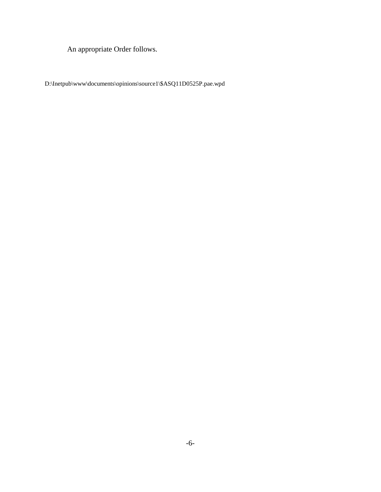An appropriate Order follows.

D:\Inetpub\www\documents\opinions\source1\\$ASQ11D0525P.pae.wpd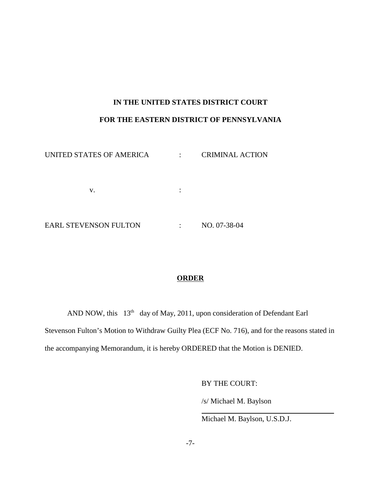# **IN THE UNITED STATES DISTRICT COURT FOR THE EASTERN DISTRICT OF PENNSYLVANIA**

| UNITED STATES OF AMERICA     |   | <b>CRIMINAL ACTION</b> |
|------------------------------|---|------------------------|
|                              |   |                        |
| v.                           | ٠ |                        |
|                              |   |                        |
| <b>EARL STEVENSON FULTON</b> |   | NO. 07-38-04           |

# **ORDER**

AND NOW, this 13<sup>th</sup> day of May, 2011, upon consideration of Defendant Earl Stevenson Fulton's Motion to Withdraw Guilty Plea (ECF No. 716), and for the reasons stated in the accompanying Memorandum, it is hereby ORDERED that the Motion is DENIED.

BY THE COURT:

/s/ Michael M. Baylson

Michael M. Baylson, U.S.D.J.